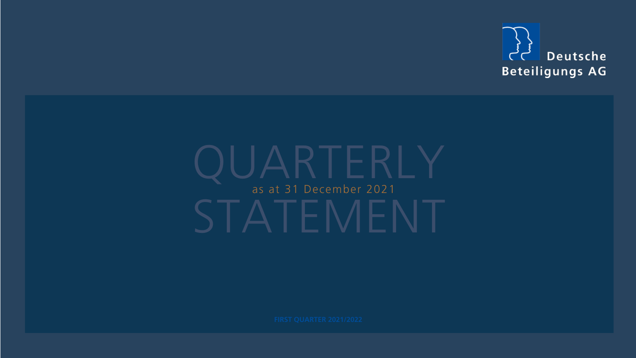

# STATEMENT as at 31 December 2021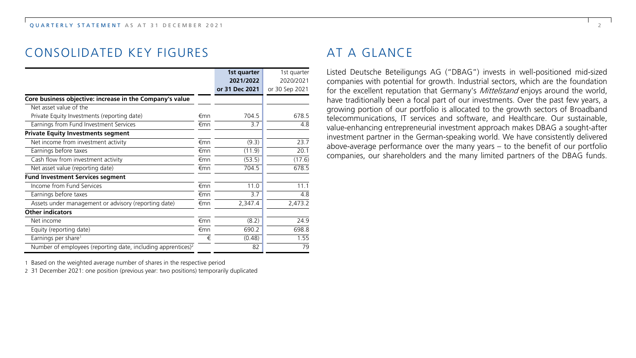## CONSOLIDATED KEY FIGURES

|                                                                          |     | 1st quarter    | 1st quarter    |
|--------------------------------------------------------------------------|-----|----------------|----------------|
|                                                                          |     | 2021/2022      | 2020/2021      |
|                                                                          |     | or 31 Dec 2021 | or 30 Sep 2021 |
| Core business objective: increase in the Company's value                 |     |                |                |
| Net asset value of the                                                   |     |                |                |
| Private Equity Investments (reporting date)                              | €mn | 704.5          | 678.5          |
| Earnings from Fund Investment Services                                   | €mn | 3.7            | 4.8            |
| <b>Private Equity Investments segment</b>                                |     |                |                |
| Net income from investment activity                                      | €mn | (9.3)          | 23.7           |
| Earnings before taxes                                                    | €mn | (11.9)         | 20.1           |
| Cash flow from investment activity                                       | €mn | (53.5)         | (17.6)         |
| Net asset value (reporting date)                                         | €mn | 704.5          | 678.5          |
| <b>Fund Investment Services segment</b>                                  |     |                |                |
| Income from Fund Services                                                | €mn | 11.0           | 11.1           |
| Earnings before taxes                                                    | €mn | 3.7            | 4.8            |
| Assets under management or advisory (reporting date)                     | €mn | 2,347.4        | 2,473.2        |
| Other indicators                                                         |     |                |                |
| Net income                                                               | €mn | (8.2)          | 24.9           |
| Equity (reporting date)                                                  | €mn | 690.2          | 698.8          |
| Earnings per share <sup>1</sup>                                          | €   | (0.48)         | 1.55           |
| Number of employees (reporting date, including apprentices) <sup>2</sup> |     | 82             | 79             |

1 Based on the weighted average number of shares in the respective period

2 31 December 2021: one position (previous year: two positions) temporarily duplicated

## AT A GLANCE

Listed Deutsche Beteiligungs AG ("DBAG") invests in well-positioned mid-sized companies with potential for growth. Industrial sectors, which are the foundation for the excellent reputation that Germany's *Mittelstand* enjoys around the world, have traditionally been a focal part of our investments. Over the past few years, a growing portion of our portfolio is allocated to the growth sectors of Broadband telecommunications, IT services and software, and Healthcare. Our sustainable, value-enhancing entrepreneurial investment approach makes DBAG a sought-after investment partner in the German-speaking world. We have consistently delivered above-average performance over the many years – to the benefit of our portfolio companies, our shareholders and the many limited partners of the DBAG funds.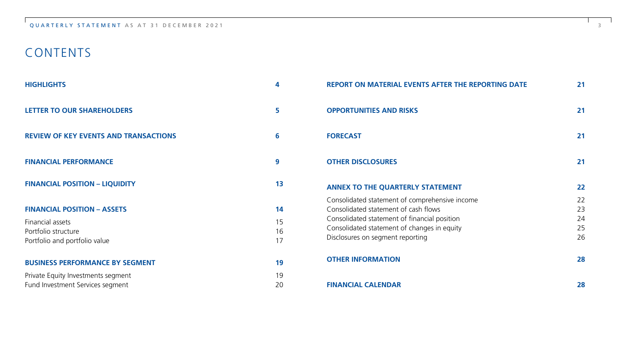## CONTENTS

| <b>HIGHLIGHTS</b>                                                                                              | 4                    | <b>REPORT ON MATERIAL EVENTS AFTER THE REPORTING DATE</b>                                                                                                                                                                 | 21                         |
|----------------------------------------------------------------------------------------------------------------|----------------------|---------------------------------------------------------------------------------------------------------------------------------------------------------------------------------------------------------------------------|----------------------------|
| LETTER TO OUR SHAREHOLDERS                                                                                     | 5                    | <b>OPPORTUNITIES AND RISKS</b>                                                                                                                                                                                            | 21                         |
| <b>REVIEW OF KEY EVENTS AND TRANSACTIONS</b>                                                                   | 6                    | <b>FORECAST</b>                                                                                                                                                                                                           | 21                         |
| <b>FINANCIAL PERFORMANCE</b>                                                                                   | 9                    | <b>OTHER DISCLOSURES</b>                                                                                                                                                                                                  | 21                         |
| <b>FINANCIAL POSITION - LIQUIDITY</b>                                                                          | 13                   | ANNEX TO THE QUARTERLY STATEMENT                                                                                                                                                                                          | 22                         |
| <b>FINANCIAL POSITION - ASSETS</b><br>Financial assets<br>Portfolio structure<br>Portfolio and portfolio value | 14<br>15<br>16<br>17 | Consolidated statement of comprehensive income<br>Consolidated statement of cash flows<br>Consolidated statement of financial position<br>Consolidated statement of changes in equity<br>Disclosures on segment reporting | 22<br>23<br>24<br>25<br>26 |
| <b>BUSINESS PERFORMANCE BY SEGMENT</b>                                                                         | 19                   | <b>OTHER INFORMATION</b>                                                                                                                                                                                                  | 28                         |
| Private Equity Investments segment<br>Fund Investment Services segment                                         | 19<br>20             | <b>FINANCIAL CALENDAR</b>                                                                                                                                                                                                 | 28                         |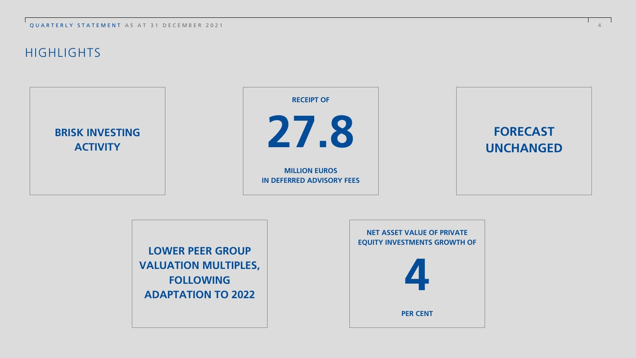QUARTERLY STATEMENT AS AT 31 DECEMBER 2021 4

## **HIGHLIGHTS**





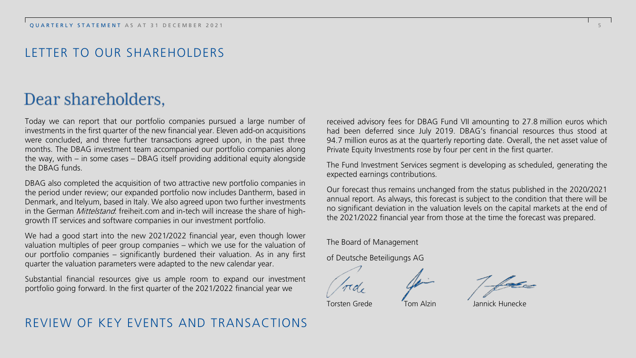## LETTER TO OUR SHAREHOLDERS

## Dear shareholders.

Today we can report that our portfolio companies pursued a large number of investments in the first quarter of the new financial year. Eleven add-on acquisitions were concluded, and three further transactions agreed upon, in the past three months. The DBAG investment team accompanied our portfolio companies along the way, with – in some cases – DBAG itself providing additional equity alongside the DBAG funds.

DBAG also completed the acquisition of two attractive new portfolio companies in the period under review; our expanded portfolio now includes Dantherm, based in Denmark, and Itelyum, based in Italy. We also agreed upon two further investments in the German *Mittelstand*: freiheit.com and in-tech will increase the share of highgrowth IT services and software companies in our investment portfolio.

We had a good start into the new 2021/2022 financial year, even though lower valuation multiples of peer group companies – which we use for the valuation of our portfolio companies – significantly burdened their valuation. As in any first quarter the valuation parameters were adapted to the new calendar year.

Substantial financial resources give us ample room to expand our investment portfolio going forward. In the first quarter of the 2021/2022 financial year we

REVIEW OF KEY EVENTS AND TRANSACTIONS

received advisory fees for DBAG Fund VII amounting to 27.8 million euros which had been deferred since July 2019. DBAG's financial resources thus stood at 94.7 million euros as at the quarterly reporting date. Overall, the net asset value of Private Equity Investments rose by four per cent in the first quarter.

The Fund Investment Services segment is developing as scheduled, generating the expected earnings contributions.

Our forecast thus remains unchanged from the status published in the 2020/2021 annual report. As always, this forecast is subject to the condition that there will be no significant deviation in the valuation levels on the capital markets at the end of the 2021/2022 financial year from those at the time the forecast was prepared.

The Board of Management

of Deutsche Beteiligungs AG

Torsten Grede Tom Alzin Jannick Hunecke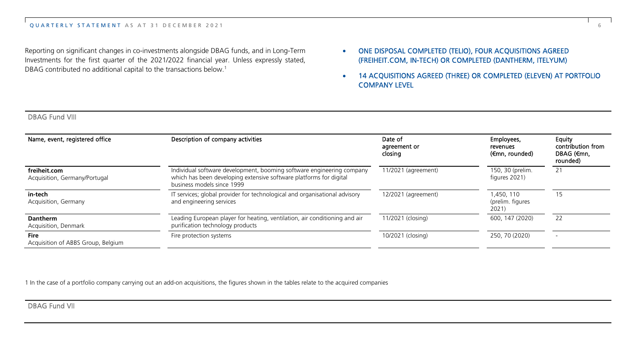Reporting on significant changes in co-investments alongside DBAG funds, and in Long-Term Investments for the first quarter of the 2021/2022 financial year. Unless expressly stated, DBAG contributed no additional capital to the transactions below.<sup>1</sup>

- ONE DISPOSAL COMPLETED (TELIO), FOUR ACQUISITIONS AGREED (FREIHEIT.COM, IN-TECH) OR COMPLETED (DANTHERM, ITELYUM)
- 14 ACQUISITIONS AGREED (THREE) OR COMPLETED (ELEVEN) AT PORTFOLIO COMPANY LEVEL

| Name, event, registered office                | Description of company activities                                                                                                                                         | Date of<br>agreement or<br>closing | Employees,<br>revenues<br>(€mn, rounded) | Equity<br>contribution from<br>DBAG (€mn.<br>rounded) |
|-----------------------------------------------|---------------------------------------------------------------------------------------------------------------------------------------------------------------------------|------------------------------------|------------------------------------------|-------------------------------------------------------|
| freiheit.com<br>Acquisition, Germany/Portugal | Individual software development, booming software engineering company<br>which has been developing extensive software platforms for digital<br>business models since 1999 | 11/2021 (agreement)                | 150, 30 (prelim.<br>figures 2021)        | 21                                                    |
| in-tech<br>Acquisition, Germany               | IT services; global provider for technological and organisational advisory<br>and engineering services                                                                    | 12/2021 (agreement)                | 1.450.110<br>(prelim. figures<br>2021)   | 15                                                    |
| Dantherm<br>Acquisition, Denmark              | Leading European player for heating, ventilation, air conditioning and air<br>purification technology products                                                            | 11/2021 (closing)                  | 600, 147 (2020)                          | 22                                                    |
| Fire<br>Acquisition of ABBS Group, Belgium    | Fire protection systems                                                                                                                                                   | 10/2021 (closing)                  | 250, 70 (2020)                           |                                                       |

1 In the case of a portfolio company carrying out an add-on acquisitions, the figures shown in the tables relate to the acquired companies

DBAG Fund VII

DBAG Fund VIII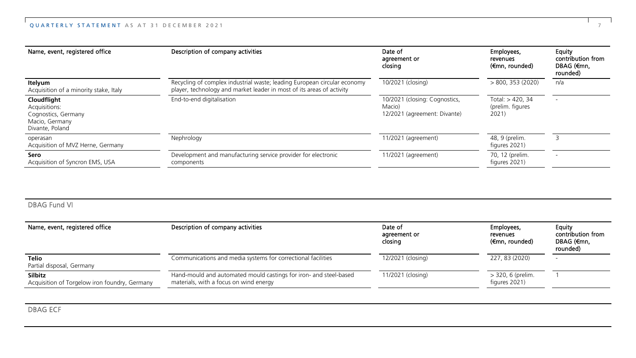| Name, event, registered office                                                           | Description of company activities                                                                                                                 | Date of<br>agreement or<br>closing                                      | Employees,<br>revenues<br>(€mn, rounded)     | Equity<br>contribution from<br>DBAG (€mn.<br>rounded) |
|------------------------------------------------------------------------------------------|---------------------------------------------------------------------------------------------------------------------------------------------------|-------------------------------------------------------------------------|----------------------------------------------|-------------------------------------------------------|
| Itelyum<br>Acquisition of a minority stake, Italy                                        | Recycling of complex industrial waste; leading European circular economy<br>player, technology and market leader in most of its areas of activity | 10/2021 (closing)                                                       | > 800, 353 (2020)                            | n/a                                                   |
| Cloudflight<br>Acquisitions:<br>Cognostics, Germany<br>Macio, Germany<br>Divante, Poland | End-to-end digitalisation                                                                                                                         | 10/2021 (closing: Cognostics,<br>Macio)<br>12/2021 (agreement: Divante) | Total: > 420, 34<br>(prelim. figures<br>2021 |                                                       |
| operasan<br>Acquisition of MVZ Herne, Germany                                            | Nephrology                                                                                                                                        | 11/2021 (agreement)                                                     | 48, 9 (prelim.<br>figures 2021)              |                                                       |
| Sero<br>Acquisition of Syncron EMS, USA                                                  | Development and manufacturing service provider for electronic<br>components                                                                       | 11/2021 (agreement)                                                     | 70, 12 (prelim.<br>figures 2021)             |                                                       |

#### DBAG Fund VI

| Name, event, registered office                                  | Description of company activities                                                                           | Date of<br>agreement or<br>closing | Employees,<br>revenues<br>(€mn, rounded) | Equity<br>contribution from<br>DBAG (€mn,<br>rounded) |
|-----------------------------------------------------------------|-------------------------------------------------------------------------------------------------------------|------------------------------------|------------------------------------------|-------------------------------------------------------|
| Telio<br>Partial disposal, Germany                              | Communications and media systems for correctional facilities                                                | 12/2021 (closing)                  | 227, 83 (2020)                           | -                                                     |
| <b>Silbitz</b><br>Acquisition of Torgelow iron foundry, Germany | Hand-mould and automated mould castings for iron- and steel-based<br>materials, with a focus on wind energy | 11/2021 (closing)                  | > 320, 6 (prelim.<br>figures 2021)       |                                                       |

DBAG ECF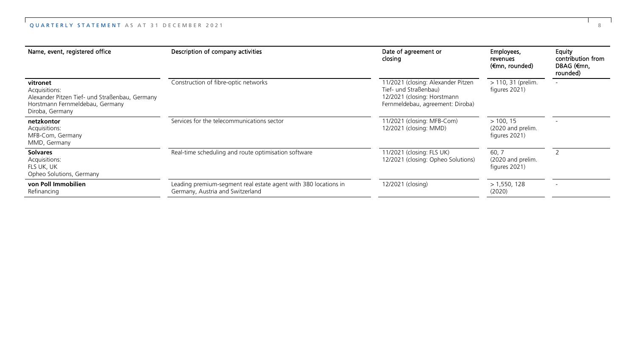| Name, event, registered office                                                                                                    | Description of company activities                                                                   | Date of agreement or<br>closing                                                                                                | Employees,<br>revenues<br>(€mn, rounded)        | Equity<br>contribution from<br>DBAG (€mn,<br>rounded) |
|-----------------------------------------------------------------------------------------------------------------------------------|-----------------------------------------------------------------------------------------------------|--------------------------------------------------------------------------------------------------------------------------------|-------------------------------------------------|-------------------------------------------------------|
| vitronet<br>Acquisitions:<br>Alexander Pitzen Tief- und Straßenbau, Germany<br>Horstmann Fernmeldebau, Germany<br>Diroba, Germany | Construction of fibre-optic networks                                                                | 11/2021 (closing: Alexander Pitzen<br>Tief- und Straßenbau)<br>12/2021 (closing: Horstmann<br>Fernmeldebau, agreement: Diroba) | > 110, 31 (prelim.<br>figures 2021)             |                                                       |
| netzkontor<br>Acquisitions:<br>MFB-Com, Germany<br>MMD, Germany                                                                   | Services for the telecommunications sector                                                          | 11/2021 (closing: MFB-Com)<br>12/2021 (closing: MMD)                                                                           | > 100, 15<br>(2020 and prelim.<br>figures 2021) |                                                       |
| <b>Solvares</b><br>Acquisitions:<br>FLS UK, UK<br>Opheo Solutions, Germany                                                        | Real-time scheduling and route optimisation software                                                | 11/2021 (closing: FLS UK)<br>12/2021 (closing: Opheo Solutions)                                                                | 60, 7<br>(2020 and prelim.<br>figures 2021)     |                                                       |
| von Poll Immobilien<br>Refinancing                                                                                                | Leading premium-segment real estate agent with 380 locations in<br>Germany, Austria and Switzerland | 12/2021 (closing)                                                                                                              | > 1,550,128<br>(2020)                           |                                                       |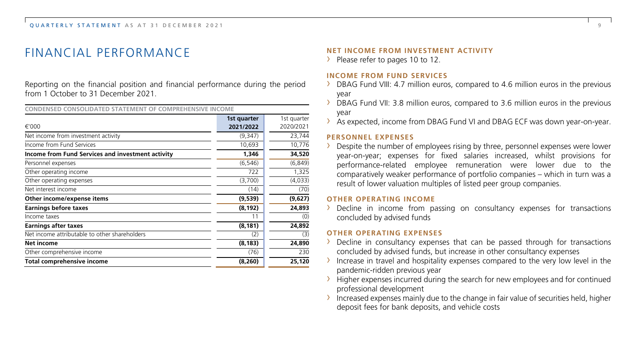## FINANCIAL PERFORMANCE

Reporting on the financial position and financial performance during the period from 1 October to 31 December 2021.

**CONDENSED CONSOLIDATED STATEMENT OF COMPREHENSIVE INCOME**

|                                                   | 1st quarter | 1st guarter |
|---------------------------------------------------|-------------|-------------|
| €'000                                             | 2021/2022   | 2020/2021   |
| Net income from investment activity               | (9,347)     | 23,744      |
| Income from Fund Services                         | 10,693      | 10,776      |
| Income from Fund Services and investment activity | 1,346       | 34,520      |
| Personnel expenses                                | (6, 546)    | (6, 849)    |
| Other operating income                            | 722         | 1,325       |
| Other operating expenses                          | (3,700)     | (4,033)     |
| Net interest income                               | (14)        | (70)        |
| Other income/expense items                        | (9,539)     | (9,627)     |
| <b>Earnings before taxes</b>                      | (8, 192)    | 24,893      |
| Income taxes                                      | 11          | (0)         |
| <b>Earnings after taxes</b>                       | (8, 181)    | 24,892      |
| Net income attributable to other shareholders     | (2)         | (3)         |
| Net income                                        | (8, 183)    | 24,890      |
| Other comprehensive income                        | (76)        | 230         |
| Total comprehensive income                        | (8, 260)    | 25,120      |

#### **NET INCOME FROM INVESTMENT ACTIVITY**

> Please refer to pages 10 to 12.

#### **INCOME FROM FUND SERVICES**

- $\rightarrow$  DBAG Fund VIII: 4.7 million euros, compared to 4.6 million euros in the previous year
- $\rightarrow$  DBAG Fund VII: 3.8 million euros, compared to 3.6 million euros in the previous year
- › As expected, income from DBAG Fund VI and DBAG ECF was down year-on-year.

#### **PERSONNEL EXPENSES**

 $\rightarrow$  Despite the number of employees rising by three, personnel expenses were lower year-on-year; expenses for fixed salaries increased, whilst provisions for performance-related employee remuneration were lower due to the comparatively weaker performance of portfolio companies – which in turn was a result of lower valuation multiples of listed peer group companies.

#### **OTHER OPERATING INCOME**

 $\rightarrow$  Decline in income from passing on consultancy expenses for transactions concluded by advised funds

#### **OTHER OPERATING EXPENSES**

- $\rightarrow$  Decline in consultancy expenses that can be passed through for transactions concluded by advised funds, but increase in other consultancy expenses
- $\rightarrow$  Increase in travel and hospitality expenses compared to the very low level in the pandemic-ridden previous year
- $\rightarrow$  Higher expenses incurred during the search for new employees and for continued professional development
- $\rightarrow$  Increased expenses mainly due to the change in fair value of securities held, higher deposit fees for bank deposits, and vehicle costs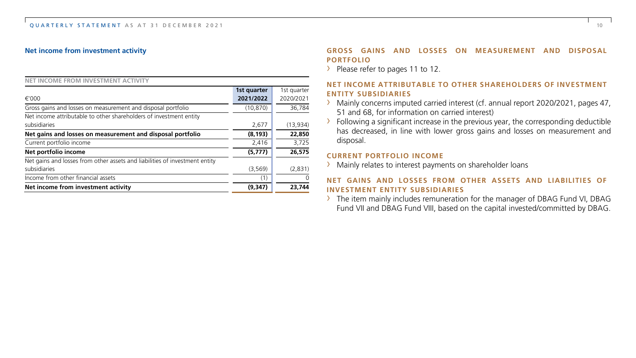#### **Net income from investment activity**

| NET INCOME FROM INVESTMENT ACTIVITY                                         |             |              |
|-----------------------------------------------------------------------------|-------------|--------------|
|                                                                             | 1st quarter | 1st quarter  |
| €'000                                                                       | 2021/2022   | 2020/2021    |
| Gross gains and losses on measurement and disposal portfolio                | (10, 870)   | 36,784       |
| Net income attributable to other shareholders of investment entity          |             |              |
| subsidiaries                                                                | 2,677       | (13,934)     |
| Net gains and losses on measurement and disposal portfolio                  | (8, 193)    | 22,850       |
| Current portfolio income                                                    | 2.416       | 3,725        |
| Net portfolio income                                                        | (5,777)     | 26,575       |
| Net gains and losses from other assets and liabilities of investment entity |             |              |
| subsidiaries                                                                | (3, 569)    | (2,831)      |
| Income from other financial assets                                          | (1)         | <sup>0</sup> |
| Net income from investment activity                                         | (9, 347)    | 23.744       |

#### **GROSS GAINS AND LOSSES ON MEASUREMENT AND DISPOSAL PORTFOLIO**

> Please refer to pages 11 to 12.

#### **NET INCOME ATTRIBUTABLE TO OTHER SHAREHOLDERS OF INVESTMENT ENTITY SUBSIDIARIES**

- › Mainly concerns imputed carried interest (cf. annual report 2020/2021, pages 47, 51 and 68, for information on carried interest)
- $\rightarrow$  Following a significant increase in the previous year, the corresponding deductible has decreased, in line with lower gross gains and losses on measurement and disposal.

#### **CURRENT PORTFOLIO INCOME**

› Mainly relates to interest payments on shareholder loans

#### **NET GAINS AND LOSSES FROM OTHER ASSETS AND LIABILITIES OF INVESTMENT ENTITY SUBSIDIARIES**

› The item mainly includes remuneration for the manager of DBAG Fund VI, DBAG Fund VII and DBAG Fund VIII, based on the capital invested/committed by DBAG.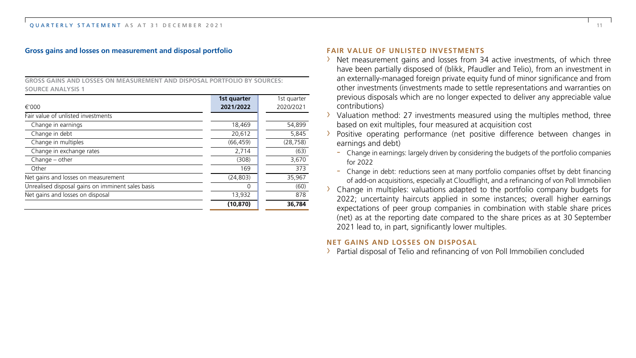#### **Gross gains and losses on measurement and disposal portfolio**

**GROSS GAINS AND LOSSES ON MEASUREMENT AND DISPOSAL PORTFOLIO BY SOURCES: SOURCE ANALYSIS 1**

|                                                   | 1st quarter | 1st quarter |
|---------------------------------------------------|-------------|-------------|
| €'000                                             | 2021/2022   | 2020/2021   |
| Fair value of unlisted investments                |             |             |
| Change in earnings                                | 18,469      | 54,899      |
| Change in debt                                    | 20,612      | 5.845       |
| Change in multiples                               | (66, 459)   | (28, 758)   |
| Change in exchange rates                          | 2,714       | (63)        |
| $Change - other$                                  | (308)       | 3,670       |
| Other                                             | 169         | 373         |
| Net gains and losses on measurement               | (24, 803)   | 35,967      |
| Unrealised disposal gains on imminent sales basis | 0           | (60)        |
| Net gains and losses on disposal                  | 13,932      | 878         |
|                                                   | (10, 870)   | 36.784      |

#### **FAIR VALUE OF UNLISTED INVESTMENTS**

- › Net measurement gains and losses from 34 active investments, of which three have been partially disposed of (blikk, Pfaudler and Telio), from an investment in an externally-managed foreign private equity fund of minor significance and from other investments (investments made to settle representations and warranties on previous disposals which are no longer expected to deliver any appreciable value contributions)
- Valuation method: 27 investments measured using the multiples method, three based on exit multiples, four measured at acquisition cost
- Positive operating performance (net positive difference between changes in earnings and debt)
	- Change in earnings: largely driven by considering the budgets of the portfolio companies for 2022
	- Change in debt: reductions seen at many portfolio companies offset by debt financing of add-on acquisitions, especially at Cloudflight, and a refinancing of von Poll Immobilien
- $\rightarrow$  Change in multiples: valuations adapted to the portfolio company budgets for 2022; uncertainty haircuts applied in some instances; overall higher earnings expectations of peer group companies in combination with stable share prices (net) as at the reporting date compared to the share prices as at 30 September 2021 lead to, in part, significantly lower multiples.

#### **NET GAINS AND LOSSES ON DISPOSAL**

› Partial disposal of Telio and refinancing of von Poll Immobilien concluded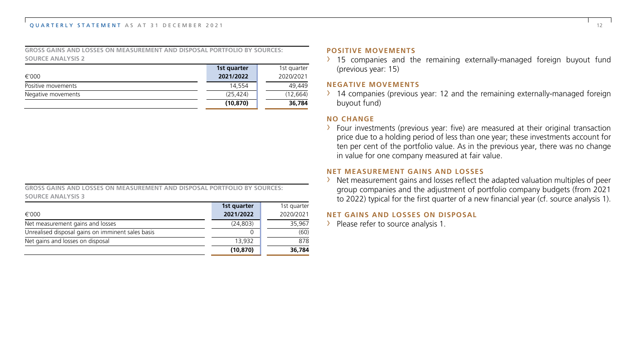#### QUARTERLY STATEMENT AS AT 31 DECEMBER 2021 12

**GROSS GAINS AND LOSSES ON MEASUREMENT AND DISPOSAL PORTFOLIO BY SOURCES: SOURCE ANALYSIS 2**

|                    | 1st quarter | 1st quarter |
|--------------------|-------------|-------------|
| €'000              | 2021/2022   | 2020/2021   |
| Positive movements | 14.554      | 49.449      |
| Negative movements | (25.424)    | (12, 664)   |
|                    | (10, 870)   | 36,784      |

| GROSS GAINS AND LOSSES ON MEASUREMENT AND DISPOSAL PORTFOLIO BY SOURCES: |  |  |  |  |
|--------------------------------------------------------------------------|--|--|--|--|
| SOURCE ANALYSIS 3                                                        |  |  |  |  |

|                                                   | (10, 870)   | 36,784      |
|---------------------------------------------------|-------------|-------------|
| Net gains and losses on disposal                  | 13,932      | 878         |
| Unrealised disposal gains on imminent sales basis |             | (60)        |
| Net measurement gains and losses                  | (24.803)    | 35,967      |
| €'000                                             | 2021/2022   | 2020/2021   |
|                                                   | 1st quarter | 1st quarter |

#### **POSITIVE MOVEMENTS**

 $\rightarrow$  15 companies and the remaining externally-managed foreign buyout fund (previous year: 15)

#### **NEGATIVE MOVEMENTS**

 $\rightarrow$  14 companies (previous year: 12 and the remaining externally-managed foreign buyout fund)

#### **NO CHANGE**

 $\rightarrow$  Four investments (previous year: five) are measured at their original transaction price due to a holding period of less than one year; these investments account for ten per cent of the portfolio value. As in the previous year, there was no change in value for one company measured at fair value.

#### **NET MEASUREMENT GAINS AND LOSSES**

› Net measurement gains and losses reflect the adapted valuation multiples of peer group companies and the adjustment of portfolio company budgets (from 2021 to 2022) typical for the first quarter of a new financial year (cf. source analysis 1).

#### **NET GAINS AND LOSSES ON DISPOSAL**

> Please refer to source analysis 1.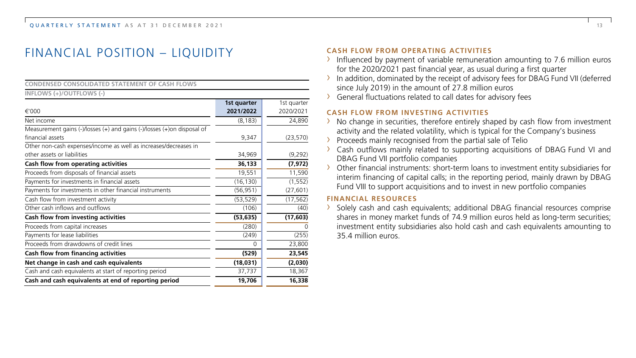## FINANCIAL POSITION – LIQUIDITY

| <b>CONDENSED CONSOLIDATED STATEMENT OF CASH FLOWS</b>                   |             |             |
|-------------------------------------------------------------------------|-------------|-------------|
| INFLOWS (+)/OUTFLOWS (-)                                                |             |             |
|                                                                         | 1st quarter | 1st quarter |
| €'000                                                                   | 2021/2022   | 2020/2021   |
| Net income                                                              | (8, 183)    | 24,890      |
| Measurement gains (-)/losses (+) and gains (-)/losses (+)on disposal of |             |             |
| financial assets                                                        | 9,347       | (23, 570)   |
| Other non-cash expenses/income as well as increases/decreases in        |             |             |
| other assets or liabilities                                             | 34,969      | (9,292)     |
| Cash flow from operating activities                                     | 36,133      | (7, 972)    |
| Proceeds from disposals of financial assets                             | 19,551      | 11,590      |
| Payments for investments in financial assets                            | (16, 130)   | (1, 552)    |
| Payments for investments in other financial instruments                 | (56,951)    | (27, 601)   |
| Cash flow from investment activity                                      | (53, 529)   | (17, 562)   |
| Other cash inflows and outflows                                         | (106)       | (40)        |
| Cash flow from investing activities                                     | (53, 635)   | (17, 603)   |
| Proceeds from capital increases                                         | (280)       |             |
| Payments for lease liabilities                                          | (249)       | (255)       |
| Proceeds from drawdowns of credit lines                                 | $\Omega$    | 23,800      |
| Cash flow from financing activities                                     | (529)       | 23,545      |
| Net change in cash and cash equivalents                                 | (18,031)    | (2,030)     |
| Cash and cash equivalents at start of reporting period                  | 37,737      | 18,367      |
| Cash and cash equivalents at end of reporting period                    | 19,706      | 16,338      |

#### **CASH FLOW FROM OPERATING ACTIVITIES**

- $\rightarrow$  Influenced by payment of variable remuneration amounting to 7.6 million euros for the 2020/2021 past financial year, as usual during a first quarter
- › In addition, dominated by the receipt of advisory fees for DBAG Fund VII (deferred since July 2019) in the amount of 27.8 million euros
- › General fluctuations related to call dates for advisory fees

#### **CASH FLOW FROM INVESTING ACTIVITIES**

- $\rightarrow$  No change in securities, therefore entirely shaped by cash flow from investment activity and the related volatility, which is typical for the Company's business
- › Proceeds mainly recognised from the partial sale of Telio
- › Cash outflows mainly related to supporting acquisitions of DBAG Fund VI and DBAG Fund VII portfolio companies
- › Other financial instruments: short-term loans to investment entity subsidiaries for interim financing of capital calls; in the reporting period, mainly drawn by DBAG Fund VIII to support acquisitions and to invest in new portfolio companies

#### **FINANCIAL RESOURCES**

› Solely cash and cash equivalents; additional DBAG financial resources comprise shares in money market funds of 74.9 million euros held as long-term securities; investment entity subsidiaries also hold cash and cash equivalents amounting to 35.4 million euros.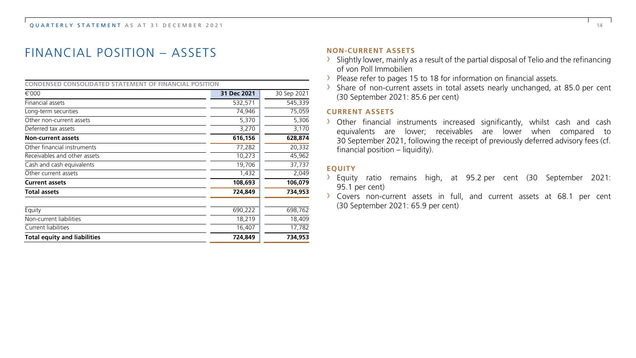## FINANCIAL POSITION – ASSETS

#### **CONDENSED CONSOLIDATED STATEMENT OF FINANCIAL POSITION**

| €'000                               | 31 Dec 2021 | 30 Sep 2021 |
|-------------------------------------|-------------|-------------|
| Financial assets                    | 532,571     | 545,339     |
| Long-term securities                | 74,946      | 75,059      |
| Other non-current assets            | 5,370       | 5,306       |
| Deferred tax assets                 | 3,270       | 3,170       |
| <b>Non-current assets</b>           | 616,156     | 628,874     |
| Other financial instruments         | 77,282      | 20,332      |
| Receivables and other assets        | 10,273      | 45,962      |
| Cash and cash equivalents           | 19,706      | 37,737      |
| Other current assets                | 1,432       | 2,049       |
| <b>Current assets</b>               | 108,693     | 106,079     |
| <b>Total assets</b>                 | 724,849     | 734,953     |
| Equity                              | 690,222     | 698,762     |
| Non-current liabilities             | 18,219      | 18,409      |
| Current liabilities                 | 16,407      | 17,782      |
| <b>Total equity and liabilities</b> | 724.849     | 734,953     |

#### **NON-CURRENT ASSETS**

- $\rightarrow$  Slightly lower, mainly as a result of the partial disposal of Telio and the refinancing of von Poll Immobilien
- › Please refer to pages 15 to 18 for information on financial assets.
- › Share of non-current assets in total assets nearly unchanged, at 85.0 per cent (30 September 2021: 85.6 per cent)

#### **CURRENT ASSETS**

› Other financial instruments increased significantly, whilst cash and cash equivalents are lower; receivables are lower when compared to 30 September 2021, following the receipt of previously deferred advisory fees (cf. financial position – liquidity).

#### **EQUITY**

- › Equity ratio remains high, at 95.2 per cent (30 September 2021: 95.1 per cent)
- › Covers non-current assets in full, and current assets at 68.1 per cent (30 September 2021: 65.9 per cent)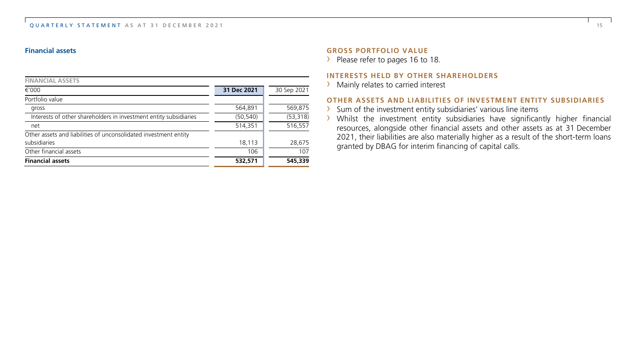#### OUARTERLY STATEMENT AS AT 31 DECEMBER 2021 15 and the contract of the contract of the contract of the contract of the contract of the contract of the contract of the contract of the contract of the contract of the contract

#### **Financial assets**

| <b>Financial assets</b>                                           | 532,571     | 545,339     |
|-------------------------------------------------------------------|-------------|-------------|
| Other financial assets                                            | 106         | 107         |
| subsidiaries                                                      | 18,113      | 28,675      |
| Other assets and liabilities of unconsolidated investment entity  |             |             |
| net                                                               | 514,351     | 516,557     |
| Interests of other shareholders in investment entity subsidiaries | (50, 540)   | (53, 318)   |
| gross                                                             | 564,891     | 569,875     |
| Portfolio value                                                   |             |             |
| $\epsilon$ '000                                                   | 31 Dec 2021 | 30 Sep 2021 |
| <b>FINANCIAL ASSETS</b>                                           |             |             |

#### **GROSS PORTFOLIO VALUE**

> Please refer to pages 16 to 18.

#### **INTERESTS HELD BY OTHER SHAREHOLDERS**

> Mainly relates to carried interest

#### **OTHER ASSETS AND LIABILITIES OF INVESTMENT ENTITY SUBSIDIARIES**

- › Sum of the investment entity subsidiaries' various line items
- › Whilst the investment entity subsidiaries have significantly higher financial resources, alongside other financial assets and other assets as at 31 December 2021, their liabilities are also materially higher as a result of the short-term loans granted by DBAG for interim financing of capital calls.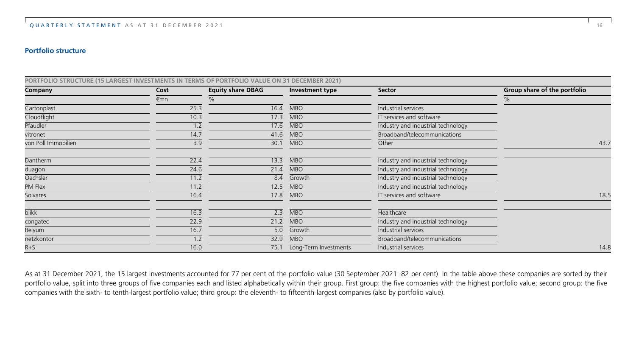#### **Portfolio structure**

| PORTFOLIO STRUCTURE (15 LARGEST INVESTMENTS IN TERMS OF PORTFOLIO VALUE ON 31 DECEMBER 2021) |      |                          |                       |                                    |                              |
|----------------------------------------------------------------------------------------------|------|--------------------------|-----------------------|------------------------------------|------------------------------|
| Company                                                                                      | Cost | <b>Equity share DBAG</b> | Investment type       | Sector                             | Group share of the portfolio |
|                                                                                              | €mn  | %                        |                       |                                    | %                            |
| Cartonplast                                                                                  | 25.3 | 16.4                     | <b>MBO</b>            | Industrial services                |                              |
| Cloudflight                                                                                  | 10.3 | 17.3                     | <b>MBO</b>            | IT services and software           |                              |
| Pfaudler                                                                                     | 1.2  | 17.6                     | <b>MBO</b>            | Industry and industrial technology |                              |
| vitronet                                                                                     | 14.7 | 41.6                     | <b>MBO</b>            | Broadband/telecommunications       |                              |
| von Poll Immobilien                                                                          | 3.9  | 30.1                     | <b>MBO</b>            | Other                              | 43.7                         |
| Dantherm                                                                                     | 22.4 | 13.3                     | <b>MBO</b>            | Industry and industrial technology |                              |
| duagon                                                                                       | 24.6 | 21.4                     | <b>MBO</b>            | Industry and industrial technology |                              |
| Oechsler                                                                                     | 11.2 | 8.4                      | Growth                | Industry and industrial technology |                              |
| PM Flex                                                                                      | 11.2 | 12.5                     | <b>MBO</b>            | Industry and industrial technology |                              |
| Solvares                                                                                     | 16.4 | 17.8                     | <b>MBO</b>            | IT services and software           | 18.5                         |
| <b>blikk</b>                                                                                 | 16.3 | 2.3                      | <b>MBO</b>            | Healthcare                         |                              |
| congatec                                                                                     | 22.9 | 21.2                     | <b>MBO</b>            | Industry and industrial technology |                              |
| Itelyum                                                                                      | 16.7 | 5.0                      | Growth                | Industrial services                |                              |
| netzkontor                                                                                   | 1.2  | 32.9                     | <b>MBO</b>            | Broadband/telecommunications       |                              |
| $R + S$                                                                                      | 16.0 | 75.1                     | Long-Term Investments | Industrial services                | 14.8                         |

As at 31 December 2021, the 15 largest investments accounted for 77 per cent of the portfolio value (30 September 2021: 82 per cent). In the table above these companies are sorted by their portfolio value, split into three groups of five companies each and listed alphabetically within their group. First group: the five companies with the highest portfolio value; second group: the five companies with the sixth- to tenth-largest portfolio value; third group: the eleventh- to fifteenth-largest companies (also by portfolio value).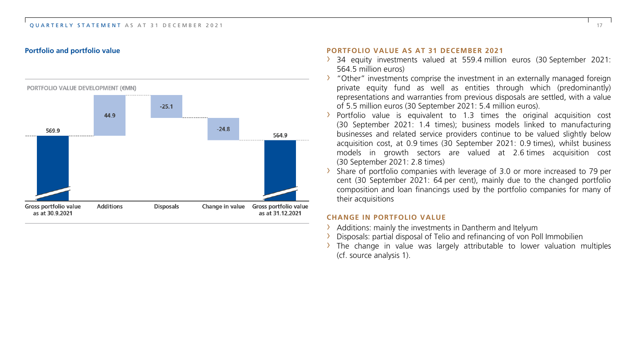#### QUARTERLY STATEMENT AS AT 31 DECEMBER 2021 17



#### **Portfolio and portfolio value PORTFOLIO VALUE AS AT 31 DECEMBER 2021**

- › 34 equity investments valued at 559.4 million euros (30 September 2021: 564.5 million euros)
- › "Other" investments comprise the investment in an externally managed foreign private equity fund as well as entities through which (predominantly) representations and warranties from previous disposals are settled, with a value of 5.5 million euros (30 September 2021: 5.4 million euros).
- › Portfolio value is equivalent to 1.3 times the original acquisition cost (30 September 2021: 1.4 times); business models linked to manufacturing businesses and related service providers continue to be valued slightly below acquisition cost, at 0.9 times (30 September 2021: 0.9 times), whilst business models in growth sectors are valued at 2.6 times acquisition cost (30 September 2021: 2.8 times)
- Share of portfolio companies with leverage of 3.0 or more increased to 79 per cent (30 September 2021: 64 per cent), mainly due to the changed portfolio composition and loan financings used by the portfolio companies for many of their acquisitions

#### **CHANGE IN PORTFOLIO VALUE**

- Additions: mainly the investments in Dantherm and Itelvum
- Disposals: partial disposal of Telio and refinancing of von Poll Immobilien
- $\rightarrow$  The change in value was largely attributable to lower valuation multiples (cf. source analysis 1).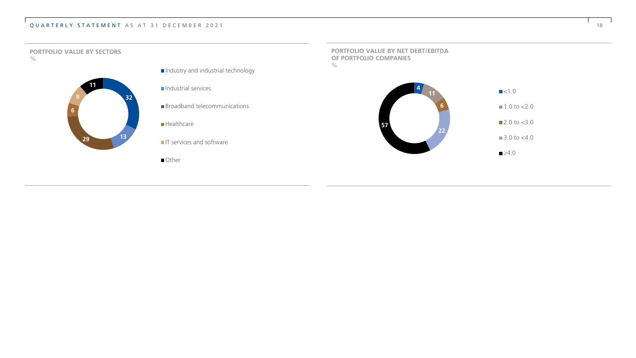#### QUARTERLY STATEMENT AS AT 31 DECEMBER 2021 18

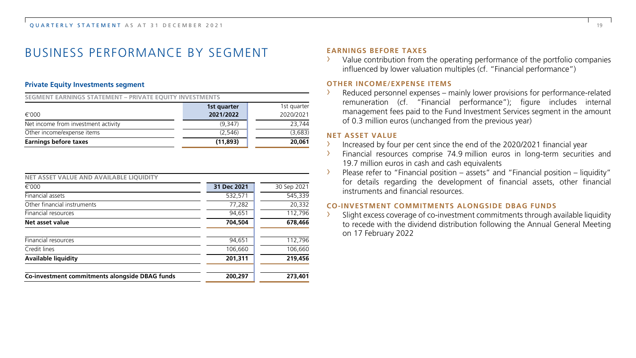## BUSINESS PERFORMANCE BY SEGMENT

#### **Private Equity Investments segment**

**SEGMENT EARNINGS STATEMENT – PRIVATE EQUITY INVESTMENTS**

|                                     | 1st quarter | 1st quarter |
|-------------------------------------|-------------|-------------|
| €'000                               | 2021/2022   | 2020/2021   |
| Net income from investment activity | (9.347)     | 23,744      |
| Other income/expense items          | (2.546)     | (3,683)     |
| Earnings before taxes               | (11,893)    | 20,061      |

| NET ASSET VALUE AND AVAILABLE LIOUIDITY        |             |             |
|------------------------------------------------|-------------|-------------|
| $\epsilon$ '000                                | 31 Dec 2021 | 30 Sep 2021 |
| Financial assets                               | 532,571     | 545,339     |
| Other financial instruments                    | 77,282      | 20,332      |
| Financial resources                            | 94,651      | 112,796     |
| Net asset value                                | 704,504     | 678,466     |
| Financial resources                            | 94,651      | 112,796     |
| Credit lines                                   | 106,660     | 106,660     |
| Available liquidity                            | 201,311     | 219,456     |
| Co-investment commitments alongside DBAG funds | 200.297     | 273,401     |

#### **EARNINGS BEFORE TAXES**

Value contribution from the operating performance of the portfolio companies influenced by lower valuation multiples (cf. "Financial performance")

#### **OTHER INCOME/EXPENSE ITEMS**

Reduced personnel expenses – mainly lower provisions for performance-related remuneration (cf. "Financial performance"); figure includes internal management fees paid to the Fund Investment Services segment in the amount of 0.3 million euros (unchanged from the previous year)

#### **NET ASSET VALUE**

- › Increased by four per cent since the end of the 2020/2021 financial year
- Financial resources comprise 74.9 million euros in long-term securities and 19.7 million euros in cash and cash equivalents
- › Please refer to "Financial position assets" and "Financial position liquidity" for details regarding the development of financial assets, other financial instruments and financial resources.

#### **CO-INVESTMENT COMMITMENTS ALONGSIDE DBAG FUNDS**

Slight excess coverage of co-investment commitments through available liquidity to recede with the dividend distribution following the Annual General Meeting on 17 February 2022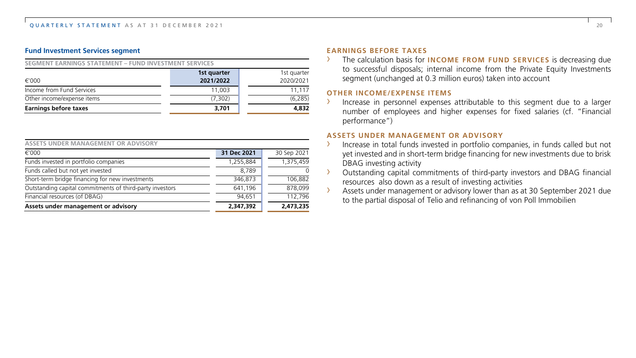#### **Fund Investment Services segment**

#### **SEGMENT EARNINGS STATEMENT – FUND INVESTMENT SERVICES**

|                              | 1st quarter | 1st quarter |
|------------------------------|-------------|-------------|
| €'000                        | 2021/2022   | 2020/2021   |
| Income from Fund Services    | 11.003      | 11.117      |
| Other income/expense items   | (7.302)     | (6, 285)    |
| <b>Earnings before taxes</b> | 3.701       | 4,832       |

| ASSETS UNDER MANAGEMENT OR ADVISORY                      |             |             |
|----------------------------------------------------------|-------------|-------------|
| €'000                                                    | 31 Dec 2021 | 30 Sep 2021 |
| Funds invested in portfolio companies                    | 1,255,884   | 1,375,459   |
| Funds called but not yet invested                        | 8.789       |             |
| Short-term bridge financing for new investments          | 346.873     | 106.882     |
| Outstanding capital commitments of third-party investors | 641,196     | 878.099     |
| Financial resources (of DBAG)                            | 94.651      | 112.796     |
| Assets under management or advisory                      | 2.347.392   | 2,473,235   |

#### **EARNINGS BEFORE TAXES**

The calculation basis for **INCOME FROM FUND SERVICES** is decreasing due to successful disposals; internal income from the Private Equity Investments segment (unchanged at 0.3 million euros) taken into account

#### **OTHER INCOME/EXPENSE ITEMS**

› Increase in personnel expenses attributable to this segment due to a larger number of employees and higher expenses for fixed salaries (cf. "Financial performance")

#### **ASSETS UNDER MANAGEMENT OR ADVISORY**

- › Increase in total funds invested in portfolio companies, in funds called but not yet invested and in short-term bridge financing for new investments due to brisk DBAG investing activity
- Outstanding capital commitments of third-party investors and DBAG financial resources also down as a result of investing activities
- › Assets under management or advisory lower than as at 30 September 2021 due to the partial disposal of Telio and refinancing of von Poll Immobilien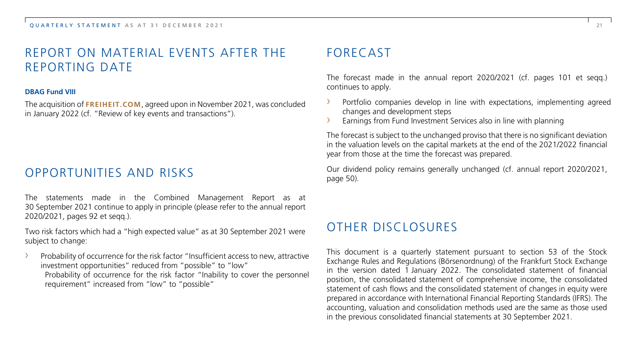## REPORT ON MATERIAL EVENTS AFTER THE REPORTING DATE

#### **DBAG Fund VIII**

The acquisition of **FREIHEIT.COM**, agreed upon in November 2021, was concluded in January 2022 (cf. "Review of key events and transactions").

## OPPORTUNITIES AND RISKS

The statements made in the Combined Management Report as at 30 September 2021 continue to apply in principle (please refer to the annual report 2020/2021, pages 92 et seqq.).

Two risk factors which had a "high expected value" as at 30 September 2021 were subject to change:

Probability of occurrence for the risk factor "Insufficient access to new, attractive investment opportunities" reduced from "possible" to "low" Probability of occurrence for the risk factor "Inability to cover the personnel requirement" increased from "low" to "possible"

## FORECAST

The forecast made in the annual report 2020/2021 (cf. pages 101 et seqq.) continues to apply.

- Portfolio companies develop in line with expectations, implementing agreed changes and development steps
- › Earnings from Fund Investment Services also in line with planning

The forecast is subject to the unchanged proviso that there is no significant deviation in the valuation levels on the capital markets at the end of the 2021/2022 financial year from those at the time the forecast was prepared.

Our dividend policy remains generally unchanged (cf. annual report 2020/2021, page 50).

## OTHER DISCLOSURES

This document is a quarterly statement pursuant to section 53 of the Stock Exchange Rules and Regulations (Börsenordnung) of the Frankfurt Stock Exchange in the version dated 1 January 2022. The consolidated statement of financial position, the consolidated statement of comprehensive income, the consolidated statement of cash flows and the consolidated statement of changes in equity were prepared in accordance with International Financial Reporting Standards (IFRS). The accounting, valuation and consolidation methods used are the same as those used in the previous consolidated financial statements at 30 September 2021.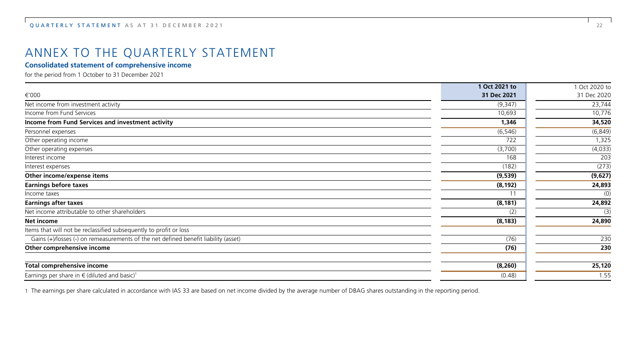## ANNEX TO THE QUARTERLY STATEMENT

#### **Consolidated statement of comprehensive income**

for the period from 1 October to 31 December 2021

|                                                                                     | 1 Oct 2021 to | 1 Oct 2020 to |
|-------------------------------------------------------------------------------------|---------------|---------------|
| €'000                                                                               | 31 Dec 2021   | 31 Dec 2020   |
| Net income from investment activity                                                 | (9,347)       | 23,744        |
| Income from Fund Services                                                           | 10,693        | 10,776        |
| Income from Fund Services and investment activity                                   | 1,346         | 34,520        |
| Personnel expenses                                                                  | (6, 546)      | (6, 849)      |
| Other operating income                                                              | 722           | 1,325         |
| Other operating expenses                                                            | (3,700)       | (4,033)       |
| Interest income                                                                     | 168           | 203           |
| Interest expenses                                                                   | (182)         | (273)         |
| Other income/expense items                                                          | (9,539)       | (9,627)       |
| <b>Earnings before taxes</b>                                                        | (8, 192)      | 24,893        |
| Income taxes                                                                        | 11            | (0)           |
| <b>Earnings after taxes</b>                                                         | (8, 181)      | 24,892        |
| Net income attributable to other shareholders                                       | (2)           | (3)           |
| Net income                                                                          | (8, 183)      | 24,890        |
| Items that will not be reclassified subsequently to profit or loss                  |               |               |
| Gains (+)/losses (-) on remeasurements of the net defined benefit liability (asset) | (76)          | 230           |
| Other comprehensive income                                                          | (76)          | 230           |
| Total comprehensive income                                                          | (8, 260)      | 25,120        |
| Earnings per share in $\in$ (diluted and basic) <sup>1</sup>                        | (0.48)        | 1.55          |

1 The earnings per share calculated in accordance with IAS 33 are based on net income divided by the average number of DBAG shares outstanding in the reporting period.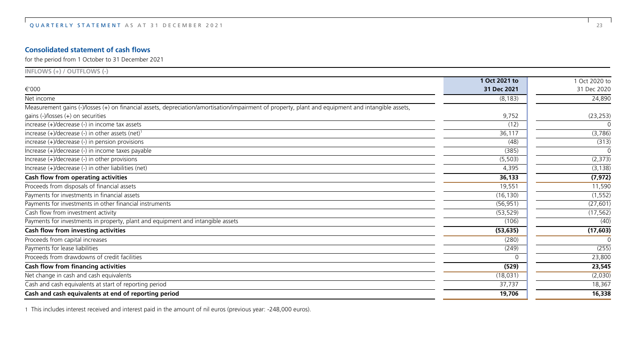#### **Consolidated statement of cash flows**

for the period from 1 October to 31 December 2021

| $INFLOWS (+) / OUTFLOWS (-)$                                                                                                                       |               |             |
|----------------------------------------------------------------------------------------------------------------------------------------------------|---------------|-------------|
|                                                                                                                                                    | 1 Oct 2021 to | Oct 2020 to |
| €'000                                                                                                                                              | 31 Dec 2021   | 31 Dec 2020 |
| Net income                                                                                                                                         | (8, 183)      | 24,890      |
| Measurement gains (-)/losses (+) on financial assets, depreciation/amortisation/impairment of property, plant and equipment and intangible assets, |               |             |
| gains $(-)/$ losses $(+)$ on securities                                                                                                            | 9,752         | (23, 253)   |
| increase (+)/decrease (-) in income tax assets                                                                                                     | (12)          | $\Omega$    |
| increase (+)/decrease (-) in other assets (net) <sup>1</sup>                                                                                       | 36,117        | (3,786)     |
| increase (+)/decrease (-) in pension provisions                                                                                                    | (48)          | (313)       |
| Increase (+)/decrease (-) in income taxes payable                                                                                                  | (385)         | $\Omega$    |
| Increase $(+)/$ decrease $(-)$ in other provisions                                                                                                 | (5, 503)      | (2, 373)    |
| Increase (+)/decrease (-) in other liabilities (net)                                                                                               | 4,395         | (3, 138)    |
| Cash flow from operating activities                                                                                                                | 36,133        | (7, 972)    |
| Proceeds from disposals of financial assets                                                                                                        | 19,551        | 11,590      |
| Payments for investments in financial assets                                                                                                       | (16, 130)     | (1, 552)    |
| Payments for investments in other financial instruments                                                                                            | (56, 951)     | (27, 601)   |
| Cash flow from investment activity                                                                                                                 | (53, 529)     | (17, 562)   |
| Payments for investments in property, plant and equipment and intangible assets                                                                    | (106)         | (40)        |
| Cash flow from investing activities                                                                                                                | (53, 635)     | (17, 603)   |
| Proceeds from capital increases                                                                                                                    | (280)         | $\Omega$    |
| Payments for lease liabilities                                                                                                                     | (249)         | (255)       |
| Proceeds from drawdowns of credit facilities                                                                                                       |               | 23,800      |
| Cash flow from financing activities                                                                                                                | (529)         | 23,545      |
| Net change in cash and cash equivalents                                                                                                            | (18,031)      | (2,030)     |
| Cash and cash equivalents at start of reporting period                                                                                             | 37,737        | 18,367      |
| Cash and cash equivalents at end of reporting period                                                                                               | 19,706        | 16,338      |

1 This includes interest received and interest paid in the amount of nil euros (previous year: -248,000 euros).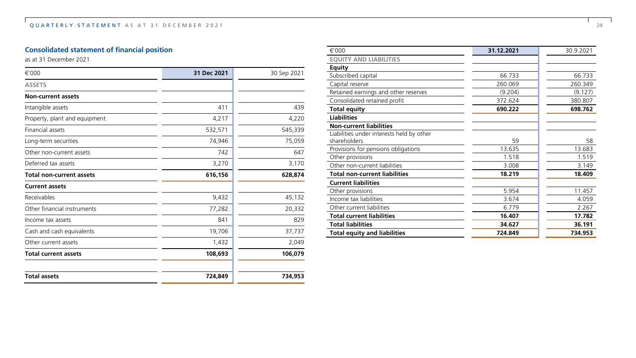### **Consolidated statement of financial position**

as at 31 December 2021

| €'000                           | 31 Dec 2021 | 30 Sep 2021 |
|---------------------------------|-------------|-------------|
| <b>ASSETS</b>                   |             |             |
| <b>Non-current assets</b>       |             |             |
| Intangible assets               | 411         | 439         |
| Property, plant and equipment   | 4,217       | 4,220       |
| <b>Financial assets</b>         | 532,571     | 545,339     |
| Long-term securities            | 74,946      | 75,059      |
| Other non-current assets        | 742         | 647         |
| Deferred tax assets             | 3,270       | 3,170       |
| <b>Total non-current assets</b> | 616,156     | 628,874     |
| <b>Current assets</b>           |             |             |
| Receivables                     | 9,432       | 45,132      |
| Other financial instruments     | 77,282      | 20,332      |
| Income tax assets               | 841         | 829         |
| Cash and cash equivalents       | 19,706      | 37,737      |
| Other current assets            | 1,432       | 2,049       |
| <b>Total current assets</b>     | 108,693     | 106,079     |
| <b>Total assets</b>             | 724,849     | 734,953     |

| €'000                                     | 31.12.2021 | 30.9.2021 |
|-------------------------------------------|------------|-----------|
| <b>EQUITY AND LIABILITIES</b>             |            |           |
| <b>Equity</b>                             |            |           |
| Subscribed capital                        | 66.733     | 66.733    |
| Capital reserve                           | 260.069    | 260.349   |
| Retained earnings and other reserves      | (9.204)    | (9.127)   |
| Consolidated retained profit              | 372.624    | 380.807   |
| <b>Total equity</b>                       | 690.222    | 698.762   |
| <b>Liabilities</b>                        |            |           |
| <b>Non-current liabilities</b>            |            |           |
| Liabilities under interests held by other |            |           |
| shareholders                              | 59         | 58        |
| Provisions for pensions obligations       | 13.635     | 13.683    |
| Other provisions                          | 1.518      | 1.519     |
| Other non-current liabilities             | 3.008      | 3.149     |
| <b>Total non-current liabilities</b>      | 18.219     | 18.409    |
| <b>Current liabilities</b>                |            |           |
| Other provisions                          | 5.954      | 11.457    |
| Income tax liabilities                    | 3.674      | 4.059     |
| Other current liabilities                 | 6.779      | 2.267     |
| <b>Total current liabilities</b>          | 16.407     | 17.782    |
| <b>Total liabilities</b>                  | 34.627     | 36.191    |
| <b>Total equity and liabilities</b>       | 724.849    | 734.953   |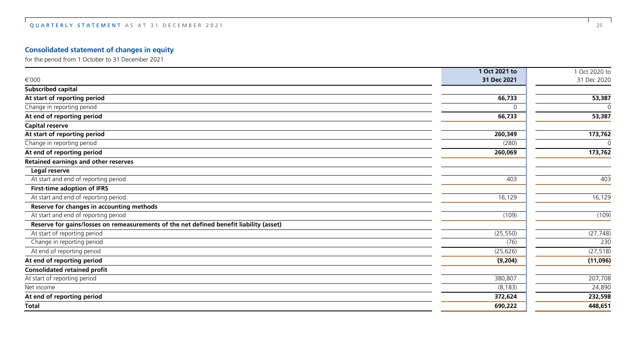### **Consolidated statement of changes in equity**

for the period from 1 October to 31 December 2021

|                                                                                         | 1 Oct 2021 to | 1 Oct 2020 to |
|-----------------------------------------------------------------------------------------|---------------|---------------|
| €'000                                                                                   | 31 Dec 2021   | 31 Dec 2020   |
| Subscribed capital                                                                      |               |               |
| At start of reporting period                                                            | 66,733        | 53,387        |
| Change in reporting period                                                              | <sup>0</sup>  | ∩             |
| At end of reporting period                                                              | 66,733        | 53,387        |
| <b>Capital reserve</b>                                                                  |               |               |
| At start of reporting period                                                            | 260,349       | 173,762       |
| Change in reporting period                                                              | (280)         | $\Omega$      |
| At end of reporting period                                                              | 260,069       | 173,762       |
| Retained earnings and other reserves                                                    |               |               |
| Legal reserve                                                                           |               |               |
| At start and end of reporting period                                                    | 403           | 403           |
| First-time adoption of IFRS                                                             |               |               |
| At start and end of reporting period                                                    | 16,129        | 16, 129       |
| Reserve for changes in accounting methods                                               |               |               |
| At start and end of reporting period                                                    | (109)         | (109)         |
| Reserve for gains/losses on remeasurements of the net defined benefit liability (asset) |               |               |
| At start of reporting period                                                            | (25, 550)     | (27, 748)     |
| Change in reporting period                                                              | (76)          | 230           |
| At end of reporting period                                                              | (25, 626)     | (27, 518)     |
| At end of reporting period                                                              | (9,204)       | (11,096)      |
| <b>Consolidated retained profit</b>                                                     |               |               |
| At start of reporting period                                                            | 380,807       | 207,708       |
| Net income                                                                              | (8, 183)      | 24,890        |
| At end of reporting period                                                              | 372,624       | 232,598       |
| <b>Total</b>                                                                            | 690,222       | 448,651       |
|                                                                                         |               |               |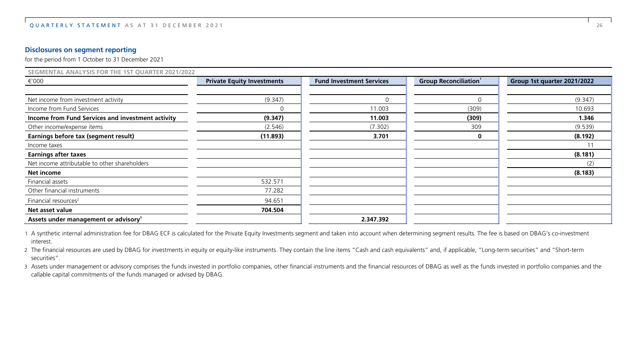#### **Disclosures on segment reporting**

for the period from 1 October to 31 December 2021

| SEGMENTAL ANALYSIS FOR THE 1ST QUARTER 2021/2022  |                                   |                                 |                                          |                             |  |  |
|---------------------------------------------------|-----------------------------------|---------------------------------|------------------------------------------|-----------------------------|--|--|
| €'000                                             | <b>Private Equity Investments</b> | <b>Fund Investment Services</b> | <b>Group Reconciliation</b> <sup>1</sup> | Group 1st quarter 2021/2022 |  |  |
|                                                   |                                   |                                 |                                          |                             |  |  |
| Net income from investment activity               | (9.347)                           | $\mathbf 0$                     | O                                        | (9.347)                     |  |  |
| Income from Fund Services                         | $\Omega$                          | 11.003                          | (309)                                    | 10.693                      |  |  |
| Income from Fund Services and investment activity | (9.347)                           | 11.003                          | (309)                                    | 1.346                       |  |  |
| Other income/expense items                        | (2.546)                           | (7.302)                         | 309                                      | (9.539)                     |  |  |
| Earnings before tax (segment result)              | (11.893)                          | 3.701                           | 0                                        | (8.192)                     |  |  |
| Income taxes                                      |                                   |                                 |                                          |                             |  |  |
| <b>Earnings after taxes</b>                       |                                   |                                 |                                          | (8.181)                     |  |  |
| Net income attributable to other shareholders     |                                   |                                 |                                          | (2)                         |  |  |
| Net income                                        |                                   |                                 |                                          | (8.183)                     |  |  |
| Financial assets                                  | 532.571                           |                                 |                                          |                             |  |  |
| Other financial instruments                       | 77.282                            |                                 |                                          |                             |  |  |
| Financial resources <sup>2</sup>                  | 94.651                            |                                 |                                          |                             |  |  |
| Net asset value                                   | 704.504                           |                                 |                                          |                             |  |  |
| Assets under management or advisory <sup>3</sup>  |                                   | 2.347.392                       |                                          |                             |  |  |

1 A synthetic internal administration fee for DBAG ECF is calculated for the Private Equity Investments segment and taken into account when determining segment results. The fee is based on DBAG's co-investment interest.

2 The financial resources are used by DBAG for investments in equity or equity-like instruments. They contain the line items "Cash and cash equivalents" and, if applicable, "Long-term securities" and "Short-term securities".

3 Assets under management or advisory comprises the funds invested in portfolio companies, other financial instruments and the financial resources of DBAG as well as the funds invested in portfolio companies and the callable capital commitments of the funds managed or advised by DBAG.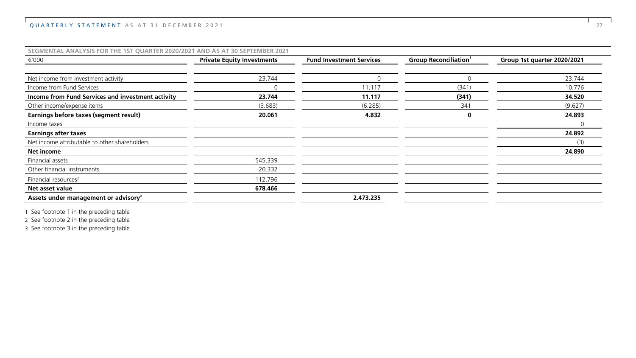#### QUARTERLY STATEMENT AS AT 31 DECEMBER 2021 27

| SEGMENTAL ANALYSIS FOR THE 1ST QUARTER 2020/2021 AND AS AT 30 SEPTEMBER 2021 |                                   |                                 |                                          |                             |
|------------------------------------------------------------------------------|-----------------------------------|---------------------------------|------------------------------------------|-----------------------------|
| €'000                                                                        | <b>Private Equity Investments</b> | <b>Fund Investment Services</b> | <b>Group Reconciliation</b> <sup>1</sup> | Group 1st quarter 2020/2021 |
|                                                                              |                                   |                                 |                                          |                             |
| Net income from investment activity                                          | 23.744                            |                                 |                                          | 23.744                      |
| Income from Fund Services                                                    |                                   | 11.117                          | (341)                                    | 10.776                      |
| Income from Fund Services and investment activity                            | 23.744                            | 11.117                          | (341)                                    | 34.520                      |
| Other income/expense items                                                   | (3.683)                           | (6.285)                         | 341                                      | (9.627)                     |
| Earnings before taxes (segment result)                                       | 20.061                            | 4.832                           | 0                                        | 24.893                      |
| Income taxes                                                                 |                                   |                                 |                                          | C                           |
| <b>Earnings after taxes</b>                                                  |                                   |                                 |                                          | 24.892                      |
| Net income attributable to other shareholders                                |                                   |                                 |                                          | (3)                         |
| Net income                                                                   |                                   |                                 |                                          | 24.890                      |
| Financial assets                                                             | 545.339                           |                                 |                                          |                             |
| Other financial instruments                                                  | 20.332                            |                                 |                                          |                             |
| Financial resources <sup>2</sup>                                             | 112.796                           |                                 |                                          |                             |
| Net asset value                                                              | 678.466                           |                                 |                                          |                             |
| Assets under management or advisory <sup>3</sup>                             |                                   | 2.473.235                       |                                          |                             |

1 See footnote 1 in the preceding table

2 See footnote 2 in the preceding table

3 See footnote 3 in the preceding table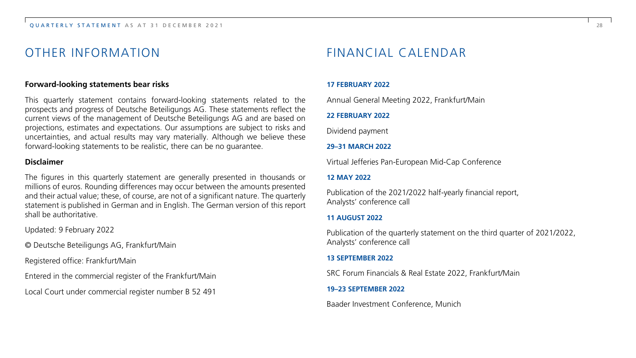## OTHER INFORMATION

#### **Forward-looking statements bear risks**

This quarterly statement contains forward-looking statements related to the prospects and progress of Deutsche Beteiligungs AG. These statements reflect the current views of the management of Deutsche Beteiligungs AG and are based on projections, estimates and expectations. Our assumptions are subject to risks and uncertainties, and actual results may vary materially. Although we believe these forward-looking statements to be realistic, there can be no guarantee.

#### **Disclaimer**

The figures in this quarterly statement are generally presented in thousands or millions of euros. Rounding differences may occur between the amounts presented and their actual value; these, of course, are not of a significant nature. The quarterly statement is published in German and in English. The German version of this report shall be authoritative.

Updated: 9 February 2022

© Deutsche Beteiligungs AG, Frankfurt/Main

Registered office: Frankfurt/Main

Entered in the commercial register of the Frankfurt/Main

Local Court under commercial register number B 52 491

## FINANCIAL CALENDAR

#### **17 FEBRUARY 2022**

Annual General Meeting 2022, Frankfurt/Main

#### **22 FEBRUARY 2022**

Dividend payment

#### **29–31 MARCH 2022**

Virtual Jefferies Pan-European Mid-Cap Conference

#### **12 MAY 2022**

Publication of the 2021/2022 half-yearly financial report, Analysts' conference call

#### **11 AUGUST 2022**

Publication of the quarterly statement on the third quarter of 2021/2022, Analysts' conference call

#### **13 SEPTEMBER 2022**

SRC Forum Financials & Real Estate 2022, Frankfurt/Main

#### **19–23 SEPTEMBER 2022**

Baader Investment Conference, Munich